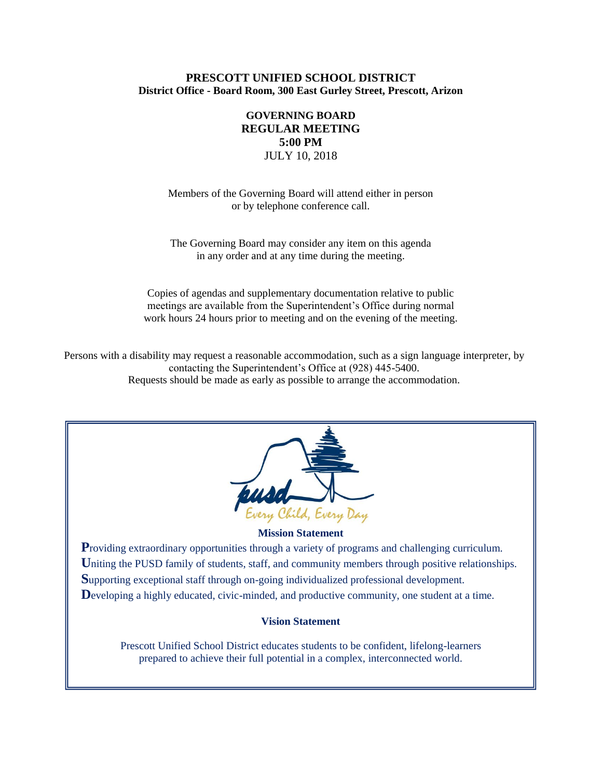## **PRESCOTT UNIFIED SCHOOL DISTRICT District Office - Board Room, 300 East Gurley Street, Prescott, Arizon**

# **GOVERNING BOARD REGULAR MEETING 5:00 PM** JULY 10, 2018

Members of the Governing Board will attend either in person or by telephone conference call.

The Governing Board may consider any item on this agenda in any order and at any time during the meeting.

Copies of agendas and supplementary documentation relative to public meetings are available from the Superintendent's Office during normal work hours 24 hours prior to meeting and on the evening of the meeting.

Persons with a disability may request a reasonable accommodation, such as a sign language interpreter, by contacting the Superintendent's Office at (928) 445-5400. Requests should be made as early as possible to arrange the accommodation.



#### **Mission Statement**

**Providing extraordinary opportunities through a variety of programs and challenging curriculum.** Uniting the PUSD family of students, staff, and community members through positive relationships. **S**upporting exceptional staff through on-going individualized professional development. Developing a highly educated, civic-minded, and productive community, one student at a time.

#### **Vision Statement**

Prescott Unified School District educates students to be confident, lifelong-learners prepared to achieve their full potential in a complex, interconnected world.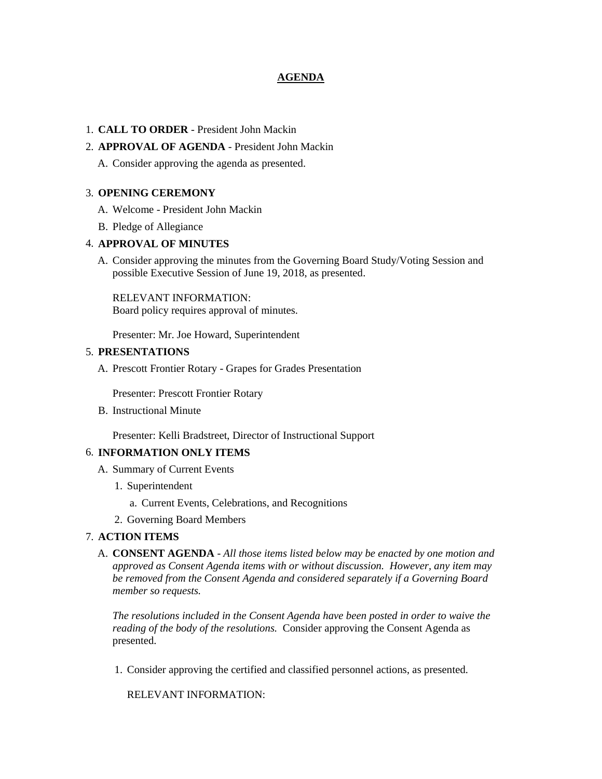## **AGENDA**

## 1. **CALL TO ORDER** - President John Mackin

## 2. **APPROVAL OF AGENDA** - President John Mackin

A. Consider approving the agenda as presented.

## 3. **OPENING CEREMONY**

- A. Welcome President John Mackin
- B. Pledge of Allegiance

## 4. **APPROVAL OF MINUTES**

A. Consider approving the minutes from the Governing Board Study/Voting Session and possible Executive Session of June 19, 2018, as presented.

RELEVANT INFORMATION: Board policy requires approval of minutes.

Presenter: Mr. Joe Howard, Superintendent

## 5. **PRESENTATIONS**

A. Prescott Frontier Rotary - Grapes for Grades Presentation

Presenter: Prescott Frontier Rotary

B. Instructional Minute

Presenter: Kelli Bradstreet, Director of Instructional Support

#### 6. **INFORMATION ONLY ITEMS**

- A. Summary of Current Events
	- 1. Superintendent
		- a. Current Events, Celebrations, and Recognitions
	- 2. Governing Board Members

## 7. **ACTION ITEMS**

A. **CONSENT AGENDA** - *All those items listed below may be enacted by one motion and approved as Consent Agenda items with or without discussion. However, any item may be removed from the Consent Agenda and considered separately if a Governing Board member so requests.*

*The resolutions included in the Consent Agenda have been posted in order to waive the reading of the body of the resolutions.* Consider approving the Consent Agenda as presented.

1. Consider approving the certified and classified personnel actions, as presented.

RELEVANT INFORMATION: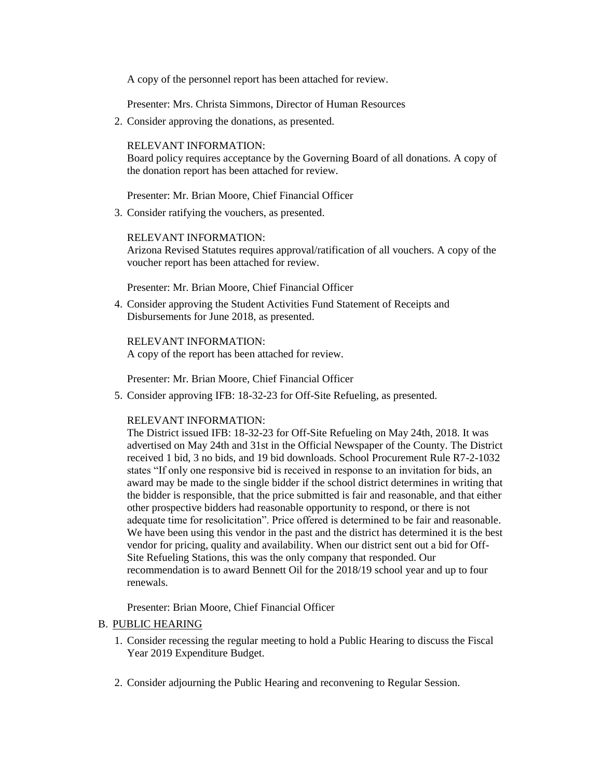A copy of the personnel report has been attached for review.

Presenter: Mrs. Christa Simmons, Director of Human Resources

2. Consider approving the donations, as presented.

## RELEVANT INFORMATION:

Board policy requires acceptance by the Governing Board of all donations. A copy of the donation report has been attached for review.

Presenter: Mr. Brian Moore, Chief Financial Officer

3. Consider ratifying the vouchers, as presented.

#### RELEVANT INFORMATION:

Arizona Revised Statutes requires approval/ratification of all vouchers. A copy of the voucher report has been attached for review.

Presenter: Mr. Brian Moore, Chief Financial Officer

4. Consider approving the Student Activities Fund Statement of Receipts and Disbursements for June 2018, as presented.

RELEVANT INFORMATION: A copy of the report has been attached for review.

Presenter: Mr. Brian Moore, Chief Financial Officer

5. Consider approving IFB: 18-32-23 for Off-Site Refueling, as presented.

#### RELEVANT INFORMATION:

The District issued IFB: 18-32-23 for Off-Site Refueling on May 24th, 2018. It was advertised on May 24th and 31st in the Official Newspaper of the County. The District received 1 bid, 3 no bids, and 19 bid downloads. School Procurement Rule R7-2-1032 states "If only one responsive bid is received in response to an invitation for bids, an award may be made to the single bidder if the school district determines in writing that the bidder is responsible, that the price submitted is fair and reasonable, and that either other prospective bidders had reasonable opportunity to respond, or there is not adequate time for resolicitation". Price offered is determined to be fair and reasonable. We have been using this vendor in the past and the district has determined it is the best vendor for pricing, quality and availability. When our district sent out a bid for Off-Site Refueling Stations, this was the only company that responded. Our recommendation is to award Bennett Oil for the 2018/19 school year and up to four renewals.

Presenter: Brian Moore, Chief Financial Officer

## B. PUBLIC HEARING

- 1. Consider recessing the regular meeting to hold a Public Hearing to discuss the Fiscal Year 2019 Expenditure Budget.
- 2. Consider adjourning the Public Hearing and reconvening to Regular Session.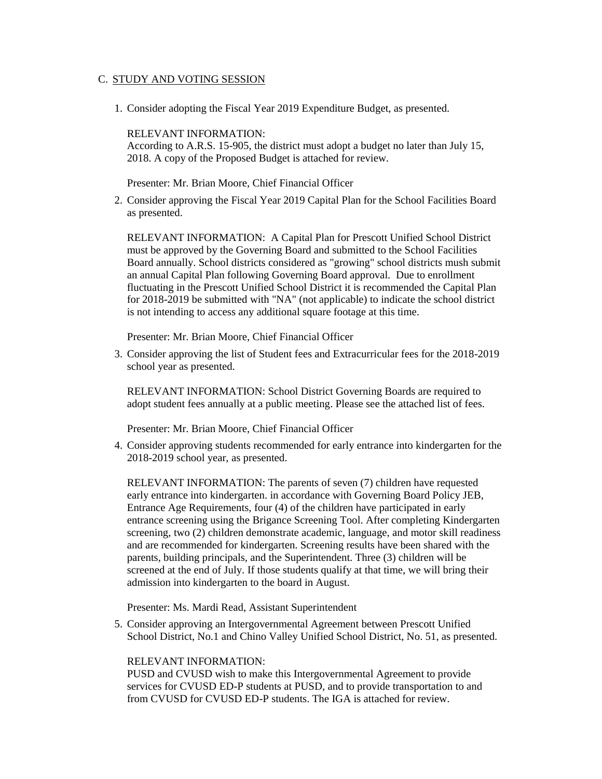## C. STUDY AND VOTING SESSION

1. Consider adopting the Fiscal Year 2019 Expenditure Budget, as presented.

## RELEVANT INFORMATION:

According to A.R.S. 15-905, the district must adopt a budget no later than July 15, 2018. A copy of the Proposed Budget is attached for review.

Presenter: Mr. Brian Moore, Chief Financial Officer

2. Consider approving the Fiscal Year 2019 Capital Plan for the School Facilities Board as presented.

RELEVANT INFORMATION: A Capital Plan for Prescott Unified School District must be approved by the Governing Board and submitted to the School Facilities Board annually. School districts considered as "growing" school districts mush submit an annual Capital Plan following Governing Board approval. Due to enrollment fluctuating in the Prescott Unified School District it is recommended the Capital Plan for 2018-2019 be submitted with "NA" (not applicable) to indicate the school district is not intending to access any additional square footage at this time.

Presenter: Mr. Brian Moore, Chief Financial Officer

3. Consider approving the list of Student fees and Extracurricular fees for the 2018-2019 school year as presented.

RELEVANT INFORMATION: School District Governing Boards are required to adopt student fees annually at a public meeting. Please see the attached list of fees.

Presenter: Mr. Brian Moore, Chief Financial Officer

4. Consider approving students recommended for early entrance into kindergarten for the 2018-2019 school year, as presented.

RELEVANT INFORMATION: The parents of seven (7) children have requested early entrance into kindergarten. in accordance with Governing Board Policy JEB, Entrance Age Requirements, four (4) of the children have participated in early entrance screening using the Brigance Screening Tool. After completing Kindergarten screening, two (2) children demonstrate academic, language, and motor skill readiness and are recommended for kindergarten. Screening results have been shared with the parents, building principals, and the Superintendent. Three (3) children will be screened at the end of July. If those students qualify at that time, we will bring their admission into kindergarten to the board in August.

Presenter: Ms. Mardi Read, Assistant Superintendent

5. Consider approving an Intergovernmental Agreement between Prescott Unified School District, No.1 and Chino Valley Unified School District, No. 51, as presented.

## RELEVANT INFORMATION:

PUSD and CVUSD wish to make this Intergovernmental Agreement to provide services for CVUSD ED-P students at PUSD, and to provide transportation to and from CVUSD for CVUSD ED-P students. The IGA is attached for review.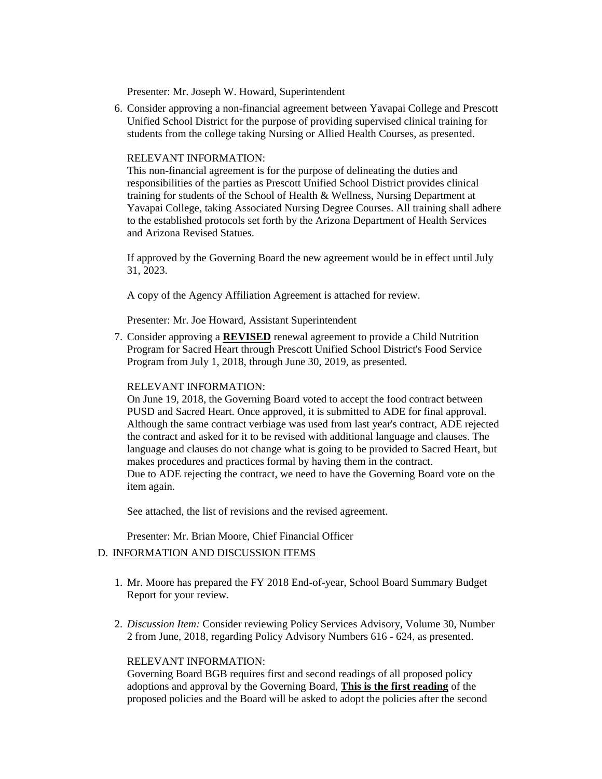Presenter: Mr. Joseph W. Howard, Superintendent

6. Consider approving a non-financial agreement between Yavapai College and Prescott Unified School District for the purpose of providing supervised clinical training for students from the college taking Nursing or Allied Health Courses, as presented.

### RELEVANT INFORMATION:

This non-financial agreement is for the purpose of delineating the duties and responsibilities of the parties as Prescott Unified School District provides clinical training for students of the School of Health & Wellness, Nursing Department at Yavapai College, taking Associated Nursing Degree Courses. All training shall adhere to the established protocols set forth by the Arizona Department of Health Services and Arizona Revised Statues.

If approved by the Governing Board the new agreement would be in effect until July 31, 2023.

A copy of the Agency Affiliation Agreement is attached for review.

Presenter: Mr. Joe Howard, Assistant Superintendent

7. Consider approving a **REVISED** renewal agreement to provide a Child Nutrition Program for Sacred Heart through Prescott Unified School District's Food Service Program from July 1, 2018, through June 30, 2019, as presented.

#### RELEVANT INFORMATION:

On June 19, 2018, the Governing Board voted to accept the food contract between PUSD and Sacred Heart. Once approved, it is submitted to ADE for final approval. Although the same contract verbiage was used from last year's contract, ADE rejected the contract and asked for it to be revised with additional language and clauses. The language and clauses do not change what is going to be provided to Sacred Heart, but makes procedures and practices formal by having them in the contract. Due to ADE rejecting the contract, we need to have the Governing Board vote on the item again.

See attached, the list of revisions and the revised agreement.

Presenter: Mr. Brian Moore, Chief Financial Officer

#### D. INFORMATION AND DISCUSSION ITEMS

- 1. Mr. Moore has prepared the FY 2018 End-of-year, School Board Summary Budget Report for your review.
- 2. *Discussion Item:* Consider reviewing Policy Services Advisory, Volume 30, Number 2 from June, 2018, regarding Policy Advisory Numbers 616 - 624, as presented.

## RELEVANT INFORMATION:

Governing Board BGB requires first and second readings of all proposed policy adoptions and approval by the Governing Board, **This is the first reading** of the proposed policies and the Board will be asked to adopt the policies after the second